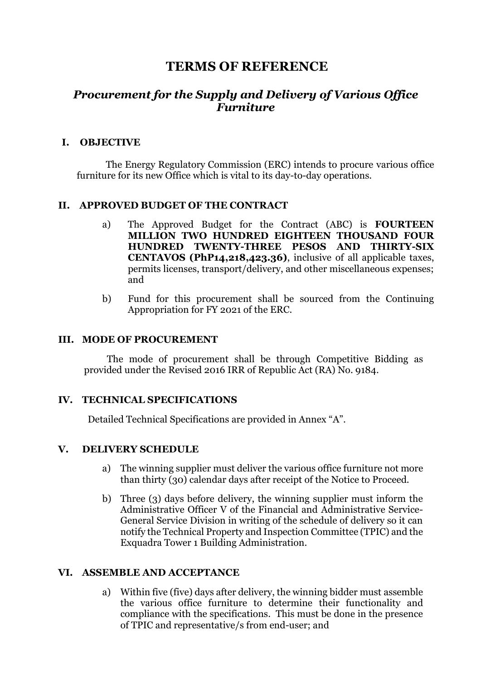# **TERMS OF REFERENCE**

# *Procurement for the Supply and Delivery of Various Office Furniture*

## **I. OBJECTIVE**

The Energy Regulatory Commission (ERC) intends to procure various office furniture for its new Office which is vital to its day-to-day operations.

## **II. APPROVED BUDGET OF THE CONTRACT**

- a) The Approved Budget for the Contract (ABC) is **FOURTEEN MILLION TWO HUNDRED EIGHTEEN THOUSAND FOUR HUNDRED TWENTY-THREE PESOS AND THIRTY-SIX CENTAVOS (PhP14,218,423.36)**, inclusive of all applicable taxes, permits licenses, transport/delivery, and other miscellaneous expenses; and
- b) Fund for this procurement shall be sourced from the Continuing Appropriation for FY 2021 of the ERC.

#### **III. MODE OF PROCUREMENT**

The mode of procurement shall be through Competitive Bidding as provided under the Revised 2016 IRR of Republic Act (RA) No. 9184.

## **IV. TECHNICAL SPECIFICATIONS**

Detailed Technical Specifications are provided in Annex "A".

#### **V. DELIVERY SCHEDULE**

- a) The winning supplier must deliver the various office furniture not more than thirty (30) calendar days after receipt of the Notice to Proceed.
- b) Three (3) days before delivery, the winning supplier must inform the Administrative Officer V of the Financial and Administrative Service-General Service Division in writing of the schedule of delivery so it can notify the Technical Property and Inspection Committee (TPIC) and the Exquadra Tower 1 Building Administration.

#### **VI. ASSEMBLE AND ACCEPTANCE**

a) Within five (five) days after delivery, the winning bidder must assemble the various office furniture to determine their functionality and compliance with the specifications. This must be done in the presence of TPIC and representative/s from end-user; and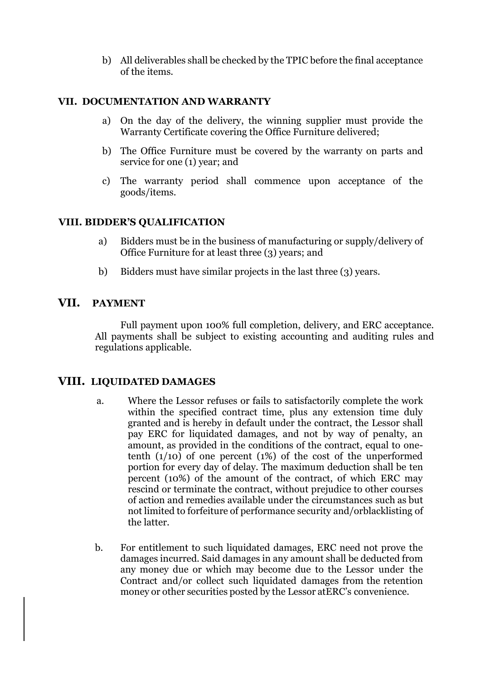b) All deliverables shall be checked by the TPIC before the final acceptance of the items.

## **VII. DOCUMENTATION AND WARRANTY**

- a) On the day of the delivery, the winning supplier must provide the Warranty Certificate covering the Office Furniture delivered;
- b) The Office Furniture must be covered by the warranty on parts and service for one (1) year; and
- c) The warranty period shall commence upon acceptance of the goods/items.

## **VIII. BIDDER'S QUALIFICATION**

- a) Bidders must be in the business of manufacturing or supply/delivery of Office Furniture for at least three (3) years; and
- b) Bidders must have similar projects in the last three (3) years.

## **VII. PAYMENT**

Full payment upon 100% full completion, delivery, and ERC acceptance. All payments shall be subject to existing accounting and auditing rules and regulations applicable.

## **VIII. LIQUIDATED DAMAGES**

- a. Where the Lessor refuses or fails to satisfactorily complete the work within the specified contract time, plus any extension time duly granted and is hereby in default under the contract, the Lessor shall pay ERC for liquidated damages, and not by way of penalty, an amount, as provided in the conditions of the contract, equal to onetenth  $(1/10)$  of one percent  $(1%)$  of the cost of the unperformed portion for every day of delay. The maximum deduction shall be ten percent (10%) of the amount of the contract, of which ERC may rescind or terminate the contract, without prejudice to other courses of action and remedies available under the circumstances such as but not limited to forfeiture of performance security and/orblacklisting of the latter.
- b. For entitlement to such liquidated damages, ERC need not prove the damages incurred. Said damages in any amount shall be deducted from any money due or which may become due to the Lessor under the Contract and/or collect such liquidated damages from the retention money or other securities posted by the Lessor atERC's convenience.